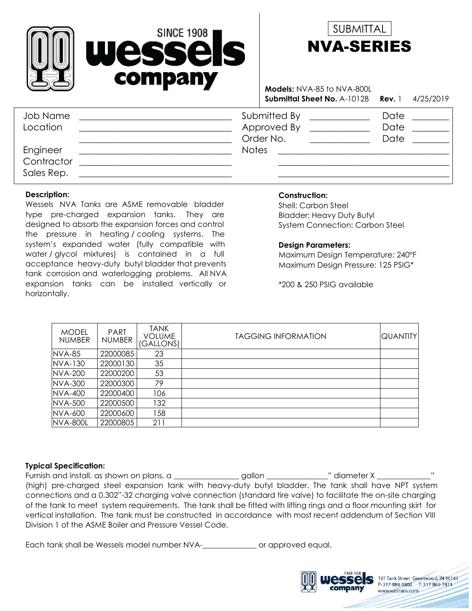



**Submittal Sheet No.** A-1012B **Rev.** 1 4/25/2019 **Models:** NVA-85 to NVA-800L

| Job Name<br>Location   | Submitted By<br>Approved By<br>Order No. | Date<br>Date<br>Date |
|------------------------|------------------------------------------|----------------------|
| Engineer<br>Contractor | <b>Notes</b>                             |                      |
|                        |                                          |                      |
| Sales Rep.             |                                          |                      |

#### **Description:**

Wessels NVA Tanks are ASME removable bladder type pre-charged expansion tanks. They are designed to absorb the expansion forces and control the pressure in heating / cooling systems. The system's expanded water (fully compatible with water / glycol mixtures) is contained in a full acceptance heavy-duty butyl bladder that prevents tank corrosion and waterlogging problems. All NVA expansion tanks can be installed vertically or horizontally.

### **Construction:**

System Connection: Carbon Steel Bladder: Heavy Duty Butyl Shell: Carbon Steel

#### **Design Parameters:**

Maximum Design Pressure: 125 PSIG\* Maximum Design Temperature: 240°F

\*200 & 250 PSIG available

| <b>MODEL</b><br><b>NUMBER</b> | <b>PART</b><br><b>NUMBER</b> | TANK<br>VOLUME<br>(GALLONS) | <b>TAGGING INFORMATION</b> | QUANTITY |
|-------------------------------|------------------------------|-----------------------------|----------------------------|----------|
| <b>NVA-85</b>                 | 22000085                     | 23                          |                            |          |
| NVA-130                       | 22000130                     | 35                          |                            |          |
| NVA-200                       | 22000200                     | 53                          |                            |          |
| <b>NVA-300</b>                | 22000300                     | 79                          |                            |          |
| <b>NVA-400</b>                | 22000400                     | 106                         |                            |          |
| NVA-500                       | 22000500                     | 132                         |                            |          |
| NVA-600                       | 22000600                     | 158                         |                            |          |
| <b>NVA-800L</b>               | 22000805                     | 211                         |                            |          |

#### **Typical Specification:**

Furnish and install, as shown on plans, a \_\_\_\_\_\_\_\_\_\_\_\_\_\_\_\_gallon \_\_\_\_\_\_\_\_\_\_\_\_\_\_" diameter X \_\_\_\_\_\_\_\_\_\_\_\_\_\_" (high) pre-charged steel expansion tank with heavy-duty butyl bladder. The tank shall have NPT system connections and a 0.302"-32 charging valve connection (standard tire valve) to facilitate the on-site charging of the tank to meet system requirements. The tank shall be fitted with lifting rings and a floor mounting skirt for vertical installation. The tank must be constructed in accordance with most recent addendum of Section VIII Division 1 of the ASME Boiler and Pressure Vessel Code.

Each tank shall be Wessels model number NVA-\_\_\_\_\_\_\_\_\_\_\_\_\_\_ or approved equal.



101 Tank Street Greenwood, IN 46143 P: 317-888-9800 F: 317-865-7411

www.westank.com